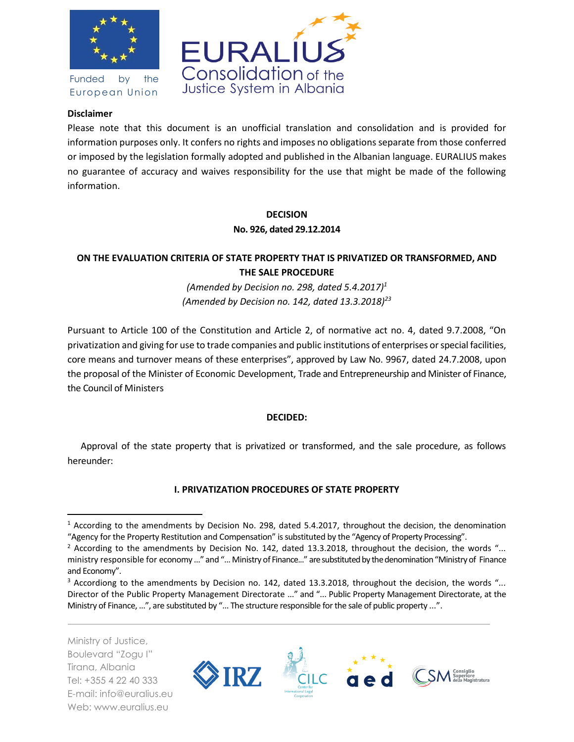

Funded by the European Union



### **Disclaimer**

Please note that this document is an unofficial translation and consolidation and is provided for information purposes only. It confers no rights and imposes no obligations separate from those conferred or imposed by the legislation formally adopted and published in the Albanian language. EURALIUS makes no guarantee of accuracy and waives responsibility for the use that might be made of the following information.

#### **DECISION No. 926, dated 29.12.2014**

# **ON THE EVALUATION CRITERIA OF STATE PROPERTY THAT IS PRIVATIZED OR TRANSFORMED, AND THE SALE PROCEDURE**

*(Amended by Decision no. 298, dated 5.4.2017)<sup>1</sup> (Amended by Decision no. 142, dated 13.3.2018)<sup>23</sup>*

Pursuant to Article 100 of the Constitution and Article 2, of normative act no. 4, dated 9.7.2008, "On privatization and giving for use to trade companies and public institutions of enterprises or special facilities, core means and turnover means of these enterprises", approved by Law No. 9967, dated 24.7.2008, upon the proposal of the Minister of Economic Development, Trade and Entrepreneurship and Minister of Finance, the Council of Ministers

# **DECIDED:**

Approval of the state property that is privatized or transformed, and the sale procedure, as follows hereunder:

# **I. PRIVATIZATION PROCEDURES OF STATE PROPERTY**

Ministry of Justice, Boulevard "Zogu I" Tirana, Albania Tel: +355 4 22 40 333 E-mail: info@euralius.eu Web: www.euralius.eu

l



<sup>1</sup> According to the amendments by Decision No. 298, dated 5.4.2017, throughout the decision, the denomination "Agency for the Property Restitution and Compensation" is substituted by the "Agency of Property Processing".

<sup>&</sup>lt;sup>2</sup> According to the amendments by Decision No. 142, dated 13.3.2018, throughout the decision, the words "... ministry responsible for economy ..." and "... Ministry of Finance..." are substituted by the denomination "Ministry of Finance and Economy".

<sup>&</sup>lt;sup>3</sup> Accordiong to the amendments by Decision no. 142, dated 13.3.2018, throughout the decision, the words "... Director of the Public Property Management Directorate ..." and "... Public Property Management Directorate, at the Ministry of Finance, ...", are substituted by "... The structure responsible for the sale of public property ...".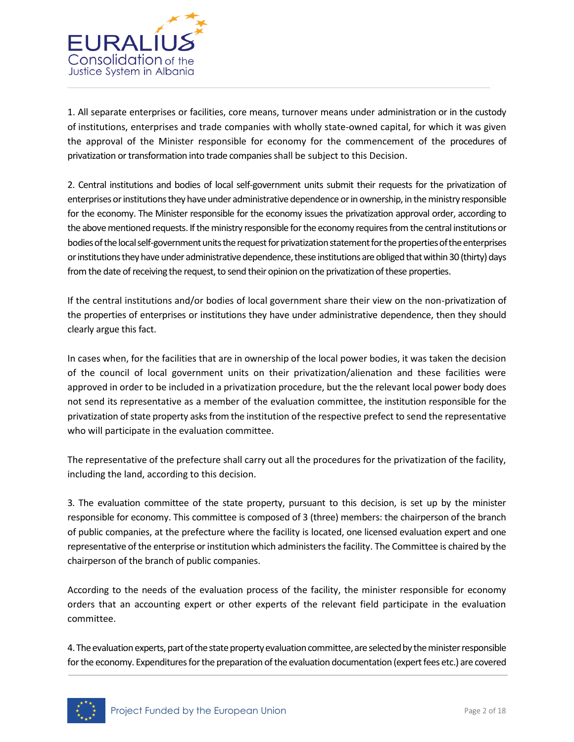

1. All separate enterprises or facilities, core means, turnover means under administration or in the custody of institutions, enterprises and trade companies with wholly state-owned capital, for which it was given the approval of the Minister responsible for economy for the commencement of the procedures of privatization or transformation into trade companies shall be subject to this Decision.

2. Central institutions and bodies of local self-government units submit their requests for the privatization of enterprises or institutionsthey have under administrative dependence or in ownership, in the ministry responsible for the economy. The Minister responsible for the economy issues the privatization approval order, according to the above mentioned requests. If the ministry responsible for the economy requires from the central institutions or bodies of the local self-government units the request for privatization statement for the properties of the enterprises or institutions they have under administrative dependence, these institutions are obliged that within 30 (thirty) days from the date of receiving the request, to send their opinion on the privatization of these properties.

If the central institutions and/or bodies of local government share their view on the non-privatization of the properties of enterprises or institutions they have under administrative dependence, then they should clearly argue this fact.

In cases when, for the facilities that are in ownership of the local power bodies, it was taken the decision of the council of local government units on their privatization/alienation and these facilities were approved in order to be included in a privatization procedure, but the the relevant local power body does not send its representative as a member of the evaluation committee, the institution responsible for the privatization of state property asks from the institution of the respective prefect to send the representative who will participate in the evaluation committee.

The representative of the prefecture shall carry out all the procedures for the privatization of the facility, including the land, according to this decision.

3. The evaluation committee of the state property, pursuant to this decision, is set up by the minister responsible for economy. This committee is composed of 3 (three) members: the chairperson of the branch of public companies, at the prefecture where the facility is located, one licensed evaluation expert and one representative of the enterprise or institution which administers the facility. The Committee is chaired by the chairperson of the branch of public companies.

According to the needs of the evaluation process of the facility, the minister responsible for economy orders that an accounting expert or other experts of the relevant field participate in the evaluation committee.

4. The evaluation experts, part of the state property evaluation committee, are selected by the minister responsible for the economy. Expenditures for the preparation of the evaluation documentation (expert fees etc.) are covered

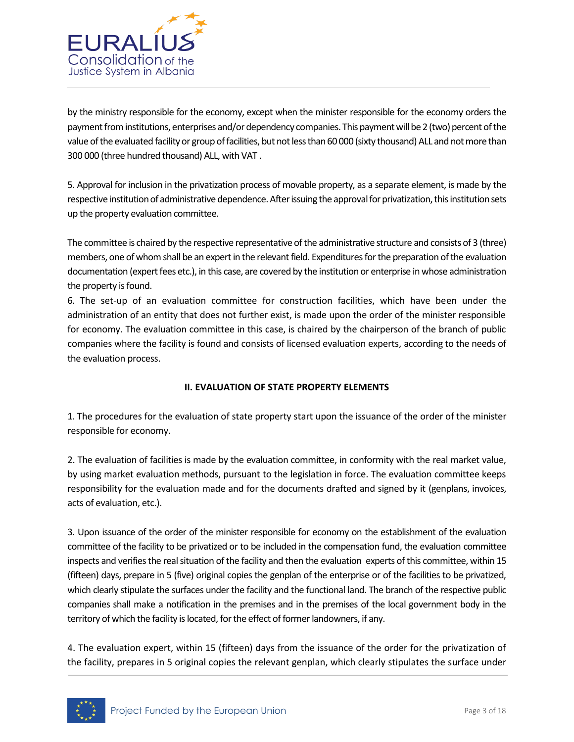

by the ministry responsible for the economy, except when the minister responsible for the economy orders the payment from institutions, enterprises and/or dependency companies. This payment will be 2 (two) percent of the value of the evaluated facility or group of facilities, but not less than 60 000 (sixty thousand) ALL and not more than 300 000 (three hundred thousand) ALL, with VAT .

5. Approval for inclusion in the privatization process of movable property, as a separate element, is made by the respective institution of administrative dependence. After issuing the approval for privatization, this institution sets up the property evaluation committee.

The committee is chaired by the respective representative of the administrative structure and consists of 3 (three) members, one of whom shall be an expert in the relevant field. Expenditures for the preparation of the evaluation documentation (expert fees etc.), in this case, are covered by the institution or enterprise in whose administration the property is found.

6. The set-up of an evaluation committee for construction facilities, which have been under the administration of an entity that does not further exist, is made upon the order of the minister responsible for economy. The evaluation committee in this case, is chaired by the chairperson of the branch of public companies where the facility is found and consists of licensed evaluation experts, according to the needs of the evaluation process.

# **II. EVALUATION OF STATE PROPERTY ELEMENTS**

1. The procedures for the evaluation of state property start upon the issuance of the order of the minister responsible for economy.

2. The evaluation of facilities is made by the evaluation committee, in conformity with the real market value, by using market evaluation methods, pursuant to the legislation in force. The evaluation committee keeps responsibility for the evaluation made and for the documents drafted and signed by it (genplans, invoices, acts of evaluation, etc.).

3. Upon issuance of the order of the minister responsible for economy on the establishment of the evaluation committee of the facility to be privatized or to be included in the compensation fund, the evaluation committee inspects and verifies the real situation of the facility and then the evaluation experts of this committee, within 15 (fifteen) days, prepare in 5 (five) original copies the genplan of the enterprise or of the facilities to be privatized, which clearly stipulate the surfaces under the facility and the functional land. The branch of the respective public companies shall make a notification in the premises and in the premises of the local government body in the territory of which the facility is located, for the effect of former landowners, if any.

4. The evaluation expert, within 15 (fifteen) days from the issuance of the order for the privatization of the facility, prepares in 5 original copies the relevant genplan, which clearly stipulates the surface under

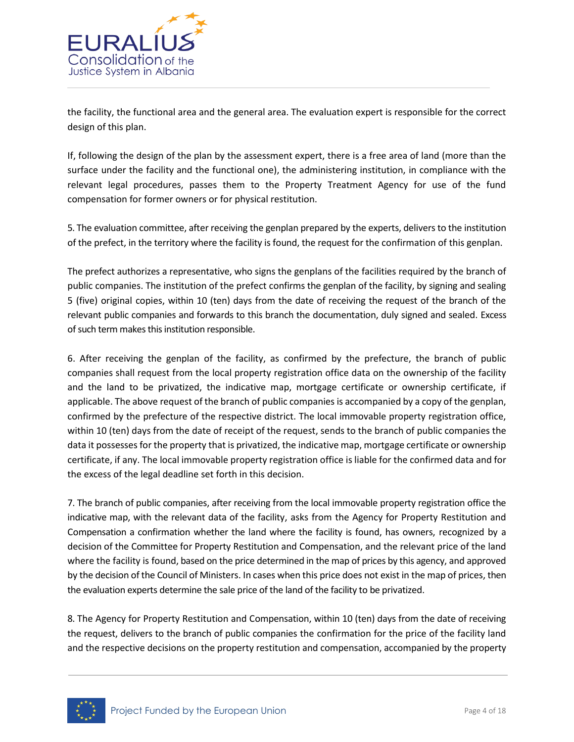

the facility, the functional area and the general area. The evaluation expert is responsible for the correct design of this plan.

If, following the design of the plan by the assessment expert, there is a free area of land (more than the surface under the facility and the functional one), the administering institution, in compliance with the relevant legal procedures, passes them to the Property Treatment Agency for use of the fund compensation for former owners or for physical restitution.

5. The evaluation committee, after receiving the genplan prepared by the experts, delivers to the institution of the prefect, in the territory where the facility is found, the request for the confirmation of this genplan.

The prefect authorizes a representative, who signs the genplans of the facilities required by the branch of public companies. The institution of the prefect confirms the genplan of the facility, by signing and sealing 5 (five) original copies, within 10 (ten) days from the date of receiving the request of the branch of the relevant public companies and forwards to this branch the documentation, duly signed and sealed. Excess of such term makes this institution responsible.

6. After receiving the genplan of the facility, as confirmed by the prefecture, the branch of public companies shall request from the local property registration office data on the ownership of the facility and the land to be privatized, the indicative map, mortgage certificate or ownership certificate, if applicable. The above request of the branch of public companies is accompanied by a copy of the genplan, confirmed by the prefecture of the respective district. The local immovable property registration office, within 10 (ten) days from the date of receipt of the request, sends to the branch of public companies the data it possesses for the property that is privatized, the indicative map, mortgage certificate or ownership certificate, if any. The local immovable property registration office is liable for the confirmed data and for the excess of the legal deadline set forth in this decision.

7. The branch of public companies, after receiving from the local immovable property registration office the indicative map, with the relevant data of the facility, asks from the Agency for Property Restitution and Compensation a confirmation whether the land where the facility is found, has owners, recognized by a decision of the Committee for Property Restitution and Compensation, and the relevant price of the land where the facility is found, based on the price determined in the map of prices by this agency, and approved by the decision of the Council of Ministers. In cases when this price does not exist in the map of prices, then the evaluation experts determine the sale price of the land of the facility to be privatized.

8. The Agency for Property Restitution and Compensation, within 10 (ten) days from the date of receiving the request, delivers to the branch of public companies the confirmation for the price of the facility land and the respective decisions on the property restitution and compensation, accompanied by the property

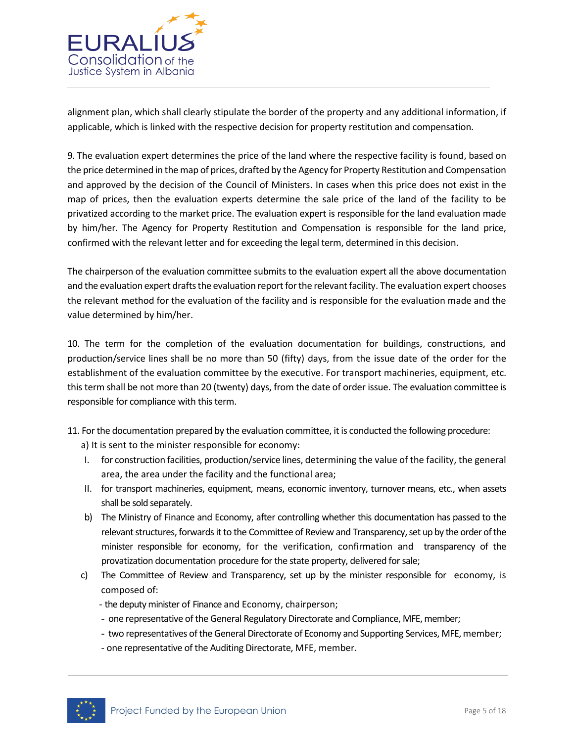

alignment plan, which shall clearly stipulate the border of the property and any additional information, if applicable, which is linked with the respective decision for property restitution and compensation.

9. The evaluation expert determines the price of the land where the respective facility is found, based on the price determined in the map of prices, drafted by the Agency for Property Restitution and Compensation and approved by the decision of the Council of Ministers. In cases when this price does not exist in the map of prices, then the evaluation experts determine the sale price of the land of the facility to be privatized according to the market price. The evaluation expert is responsible for the land evaluation made by him/her. The Agency for Property Restitution and Compensation is responsible for the land price, confirmed with the relevant letter and for exceeding the legal term, determined in this decision.

The chairperson of the evaluation committee submits to the evaluation expert all the above documentation and the evaluation expert drafts the evaluation report for the relevant facility. The evaluation expert chooses the relevant method for the evaluation of the facility and is responsible for the evaluation made and the value determined by him/her.

10. The term for the completion of the evaluation documentation for buildings, constructions, and production/service lines shall be no more than 50 (fifty) days, from the issue date of the order for the establishment of the evaluation committee by the executive. For transport machineries, equipment, etc. this term shall be not more than 20 (twenty) days, from the date of order issue. The evaluation committee is responsible for compliance with this term.

- 11. For the documentation prepared by the evaluation committee, it is conducted the following procedure:
	- a) It is sent to the minister responsible for economy:
	- I. for construction facilities, production/service lines, determining the value of the facility, the general area, the area under the facility and the functional area;
	- II. for transport machineries, equipment, means, economic inventory, turnover means, etc., when assets shall be sold separately.
	- b) The Ministry of Finance and Economy, after controlling whether this documentation has passed to the relevant structures, forwards it to the Committee of Review and Transparency, set up by the order of the minister responsible for economy, for the verification, confirmation and transparency of the provatization documentation procedure for the state property, delivered for sale;
	- c) The Committee of Review and Transparency, set up by the minister responsible for economy, is composed of:
		- the deputy minister of Finance and Economy, chairperson;
		- one representative of the General Regulatory Directorate and Compliance, MFE, member;
		- two representatives of the General Directorate of Economy and Supporting Services, MFE, member;
		- one representative of the Auditing Directorate, MFE, member.

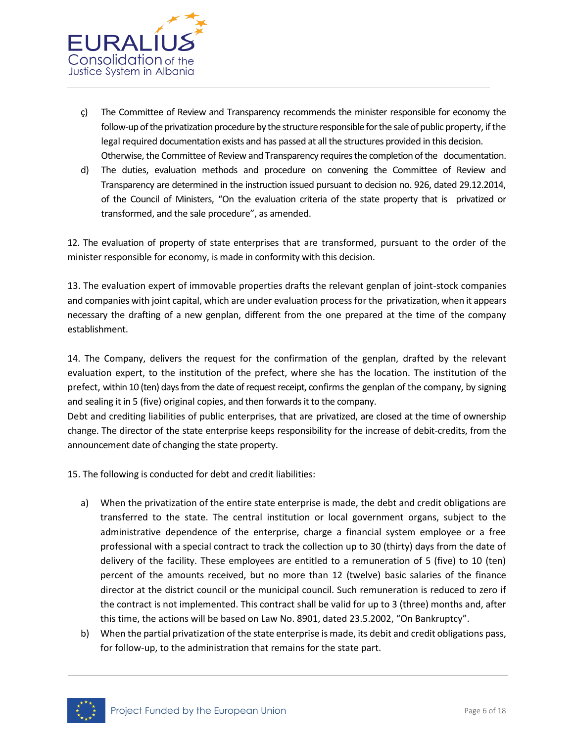

- ç) The Committee of Review and Transparency recommends the minister responsible for economy the follow-up of the privatization procedure by the structure responsible for the sale of public property, if the legal required documentation exists and has passed at all the structures provided in this decision. Otherwise, the Committee of Review and Transparency requires the completion of the documentation.
- d) The duties, evaluation methods and procedure on convening the Committee of Review and Transparency are determined in the instruction issued pursuant to decision no. 926, dated 29.12.2014, of the Council of Ministers, "On the evaluation criteria of the state property that is privatized or transformed, and the sale procedure", as amended.

12. The evaluation of property of state enterprises that are transformed, pursuant to the order of the minister responsible for economy, is made in conformity with this decision.

13. The evaluation expert of immovable properties drafts the relevant genplan of joint-stock companies and companies with joint capital, which are under evaluation process for the privatization, when it appears necessary the drafting of a new genplan, different from the one prepared at the time of the company establishment.

14. The Company, delivers the request for the confirmation of the genplan, drafted by the relevant evaluation expert, to the institution of the prefect, where she has the location. The institution of the prefect, within 10 (ten) days from the date of request receipt, confirms the genplan of the company, by signing and sealing it in 5 (five) original copies, and then forwards it to the company.

Debt and crediting liabilities of public enterprises, that are privatized, are closed at the time of ownership change. The director of the state enterprise keeps responsibility for the increase of debit-credits, from the announcement date of changing the state property.

15. The following is conducted for debt and credit liabilities:

- a) When the privatization of the entire state enterprise is made, the debt and credit obligations are transferred to the state. The central institution or local government organs, subject to the administrative dependence of the enterprise, charge a financial system employee or a free professional with a special contract to track the collection up to 30 (thirty) days from the date of delivery of the facility. These employees are entitled to a remuneration of 5 (five) to 10 (ten) percent of the amounts received, but no more than 12 (twelve) basic salaries of the finance director at the district council or the municipal council. Such remuneration is reduced to zero if the contract is not implemented. This contract shall be valid for up to 3 (three) months and, after this time, the actions will be based on Law No. 8901, dated 23.5.2002, "On Bankruptcy".
- b) When the partial privatization of the state enterprise is made, its debit and credit obligations pass, for follow-up, to the administration that remains for the state part.

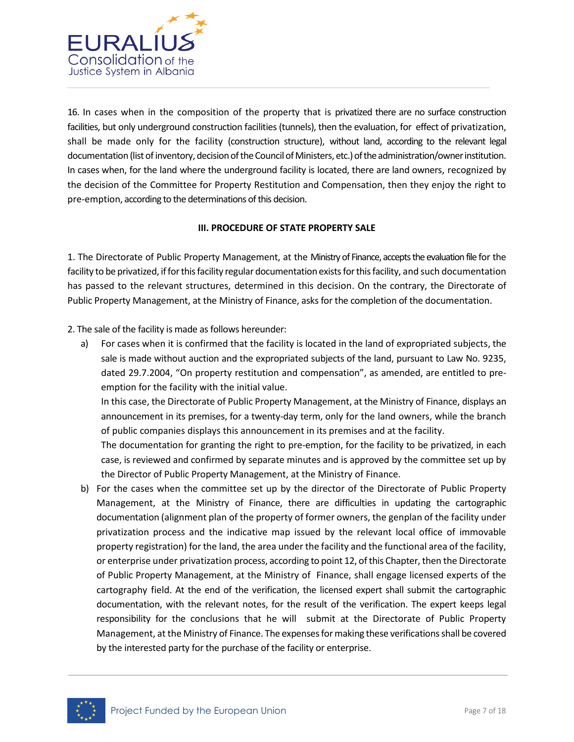

16. In cases when in the composition of the property that is privatized there are no surface construction facilities, but only underground construction facilities (tunnels), then the evaluation, for effect of privatization, shall be made only for the facility (construction structure), without land, according to the relevant legal documentation (list of inventory, decision of the Council of Ministers, etc.) of the administration/owner institution. In cases when, for the land where the underground facility is located, there are land owners, recognized by the decision of the Committee for Property Restitution and Compensation, then they enjoy the right to pre-emption, according to the determinations of this decision.

#### **III. PROCEDURE OF STATE PROPERTY SALE**

1. The Directorate of Public Property Management, at the Ministry of Finance, accepts the evaluation file for the facility to be privatized, if for this facility regular documentation exists for this facility, and such documentation has passed to the relevant structures, determined in this decision. On the contrary, the Directorate of Public Property Management, at the Ministry of Finance, asks for the completion of the documentation.

2. The sale of the facility is made as follows hereunder:

a) For cases when it is confirmed that the facility is located in the land of expropriated subjects, the sale is made without auction and the expropriated subjects of the land, pursuant to Law No. 9235, dated 29.7.2004, "On property restitution and compensation", as amended, are entitled to preemption for the facility with the initial value.

In this case, the Directorate of Public Property Management, at the Ministry of Finance, displays an announcement in its premises, for a twenty-day term, only for the land owners, while the branch of public companies displays this announcement in its premises and at the facility.

The documentation for granting the right to pre-emption, for the facility to be privatized, in each case, is reviewed and confirmed by separate minutes and is approved by the committee set up by the Director of Public Property Management, at the Ministry of Finance.

b) For the cases when the committee set up by the director of the Directorate of Public Property Management, at the Ministry of Finance, there are difficulties in updating the cartographic documentation (alignment plan of the property of former owners, the genplan of the facility under privatization process and the indicative map issued by the relevant local office of immovable property registration) for the land, the area under the facility and the functional area of the facility, or enterprise under privatization process, according to point 12, of this Chapter, then the Directorate of Public Property Management, at the Ministry of Finance, shall engage licensed experts of the cartography field. At the end of the verification, the licensed expert shall submit the cartographic documentation, with the relevant notes, for the result of the verification. The expert keeps legal responsibility for the conclusions that he will submit at the Directorate of Public Property Management, at the Ministry of Finance. The expenses for making these verifications shall be covered by the interested party for the purchase of the facility or enterprise.

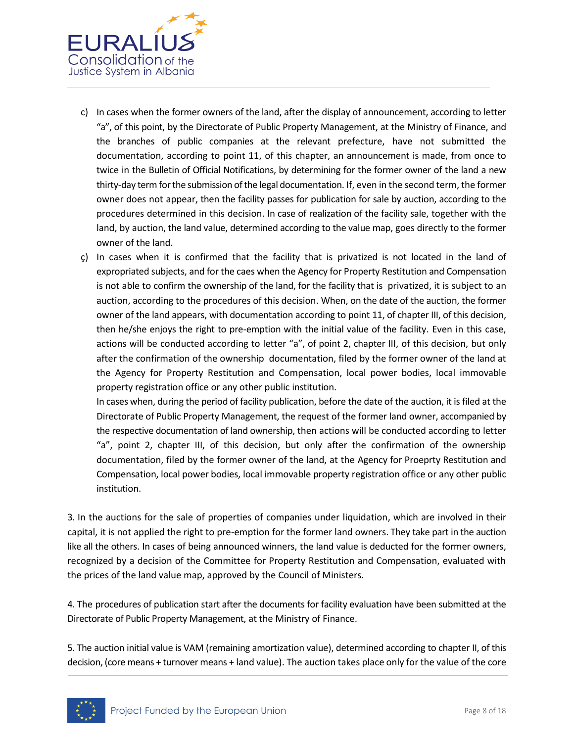

- c) In cases when the former owners of the land, after the display of announcement, according to letter "a", of this point, by the Directorate of Public Property Management, at the Ministry of Finance, and the branches of public companies at the relevant prefecture, have not submitted the documentation, according to point 11, of this chapter, an announcement is made, from once to twice in the Bulletin of Official Notifications, by determining for the former owner of the land a new thirty-day term for the submission of the legal documentation. If, even in the second term, the former owner does not appear, then the facility passes for publication for sale by auction, according to the procedures determined in this decision. In case of realization of the facility sale, together with the land, by auction, the land value, determined according to the value map, goes directly to the former owner of the land.
- ç) In cases when it is confirmed that the facility that is privatized is not located in the land of expropriated subjects, and for the caes when the Agency for Property Restitution and Compensation is not able to confirm the ownership of the land, for the facility that is privatized, it is subject to an auction, according to the procedures of this decision. When, on the date of the auction, the former owner of the land appears, with documentation according to point 11, of chapter III, of this decision, then he/she enjoys the right to pre-emption with the initial value of the facility. Even in this case, actions will be conducted according to letter "a", of point 2, chapter III, of this decision, but only after the confirmation of the ownership documentation, filed by the former owner of the land at the Agency for Property Restitution and Compensation, local power bodies, local immovable property registration office or any other public institution.

In cases when, during the period of facility publication, before the date of the auction, it is filed at the Directorate of Public Property Management, the request of the former land owner, accompanied by the respective documentation of land ownership, then actions will be conducted according to letter "a", point 2, chapter III, of this decision, but only after the confirmation of the ownership documentation, filed by the former owner of the land, at the Agency for Proeprty Restitution and Compensation, local power bodies, local immovable property registration office or any other public institution.

3. In the auctions for the sale of properties of companies under liquidation, which are involved in their capital, it is not applied the right to pre-emption for the former land owners. They take part in the auction like all the others. In cases of being announced winners, the land value is deducted for the former owners, recognized by a decision of the Committee for Property Restitution and Compensation, evaluated with the prices of the land value map, approved by the Council of Ministers.

4. The procedures of publication start after the documents for facility evaluation have been submitted at the Directorate of Public Property Management, at the Ministry of Finance.

5. The auction initial value is VAM (remaining amortization value), determined according to chapter II, of this decision, (core means + turnover means + land value). The auction takes place only for the value of the core

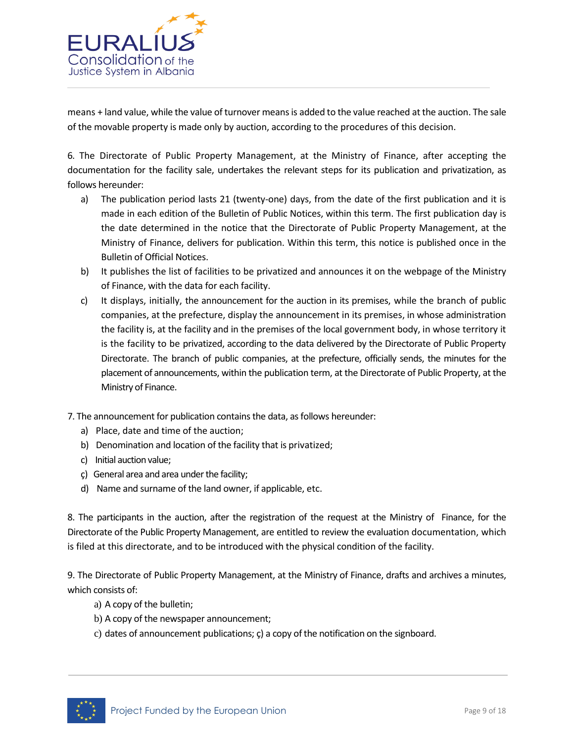

means + land value, while the value of turnover means is added to the value reached at the auction. The sale of the movable property is made only by auction, according to the procedures of this decision.

6. The Directorate of Public Property Management, at the Ministry of Finance, after accepting the documentation for the facility sale, undertakes the relevant steps for its publication and privatization, as follows hereunder:

- a) The publication period lasts 21 (twenty-one) days, from the date of the first publication and it is made in each edition of the Bulletin of Public Notices, within this term. The first publication day is the date determined in the notice that the Directorate of Public Property Management, at the Ministry of Finance, delivers for publication. Within this term, this notice is published once in the Bulletin of Official Notices.
- b) It publishes the list of facilities to be privatized and announces it on the webpage of the Ministry of Finance, with the data for each facility.
- c) It displays, initially, the announcement for the auction in its premises, while the branch of public companies, at the prefecture, display the announcement in its premises, in whose administration the facility is, at the facility and in the premises of the local government body, in whose territory it is the facility to be privatized, according to the data delivered by the Directorate of Public Property Directorate. The branch of public companies, at the prefecture, officially sends, the minutes for the placement of announcements, within the publication term, at the Directorate of Public Property, at the Ministry of Finance.
- 7. The announcement for publication contains the data, as follows hereunder:
	- a) Place, date and time of the auction;
	- b) Denomination and location of the facility that is privatized;
	- c) Initial auction value;
	- ç) General area and area under the facility;
	- d) Name and surname of the land owner, if applicable, etc.

8. The participants in the auction, after the registration of the request at the Ministry of Finance, for the Directorate of the Public Property Management, are entitled to review the evaluation documentation, which is filed at this directorate, and to be introduced with the physical condition of the facility.

9. The Directorate of Public Property Management, at the Ministry of Finance, drafts and archives a minutes, which consists of:

- a) A copy of the bulletin;
- b) A copy of the newspaper announcement;
- c) dates of announcement publications; ç) a copy of the notification on the signboard.

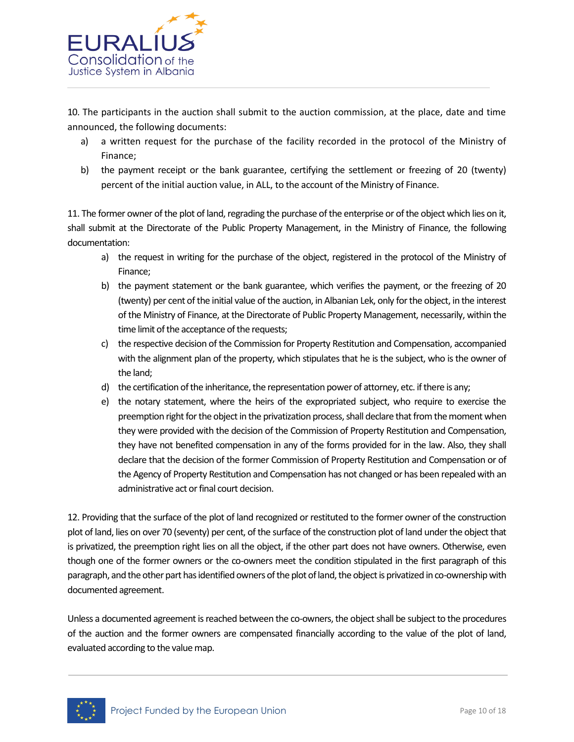

10. The participants in the auction shall submit to the auction commission, at the place, date and time announced, the following documents:

- a) a written request for the purchase of the facility recorded in the protocol of the Ministry of Finance;
- b) the payment receipt or the bank guarantee, certifying the settlement or freezing of 20 (twenty) percent of the initial auction value, in ALL, to the account of the Ministry of Finance.

11. The former owner of the plot of land, regrading the purchase of the enterprise or of the object which lies on it, shall submit at the Directorate of the Public Property Management, in the Ministry of Finance, the following documentation:

- a) the request in writing for the purchase of the object, registered in the protocol of the Ministry of Finance;
- b) the payment statement or the bank guarantee, which verifies the payment, or the freezing of 20 (twenty) per cent of the initial value of the auction, in Albanian Lek, only for the object, in the interest of the Ministry of Finance, at the Directorate of Public Property Management, necessarily, within the time limit of the acceptance of the requests;
- c) the respective decision of the Commission for Property Restitution and Compensation, accompanied with the alignment plan of the property, which stipulates that he is the subject, who is the owner of the land;
- d) the certification of the inheritance, the representation power of attorney, etc. if there is any;
- e) the notary statement, where the heirs of the expropriated subject, who require to exercise the preemption right for the object in the privatization process, shall declare that from the moment when they were provided with the decision of the Commission of Property Restitution and Compensation, they have not benefited compensation in any of the forms provided for in the law. Also, they shall declare that the decision of the former Commission of Property Restitution and Compensation or of the Agency of Property Restitution and Compensation has not changed or has been repealed with an administrative act or final court decision.

12. Providing that the surface of the plot of land recognized or restituted to the former owner of the construction plot of land, lies on over 70 (seventy) per cent, of the surface of the construction plot of land under the object that is privatized, the preemption right lies on all the object, if the other part does not have owners. Otherwise, even though one of the former owners or the co-owners meet the condition stipulated in the first paragraph of this paragraph, and the other part has identified owners of the plot of land, the object is privatized in co-ownership with documented agreement.

Unless a documented agreement is reached between the co-owners, the object shall be subject to the procedures of the auction and the former owners are compensated financially according to the value of the plot of land, evaluated according to the value map.

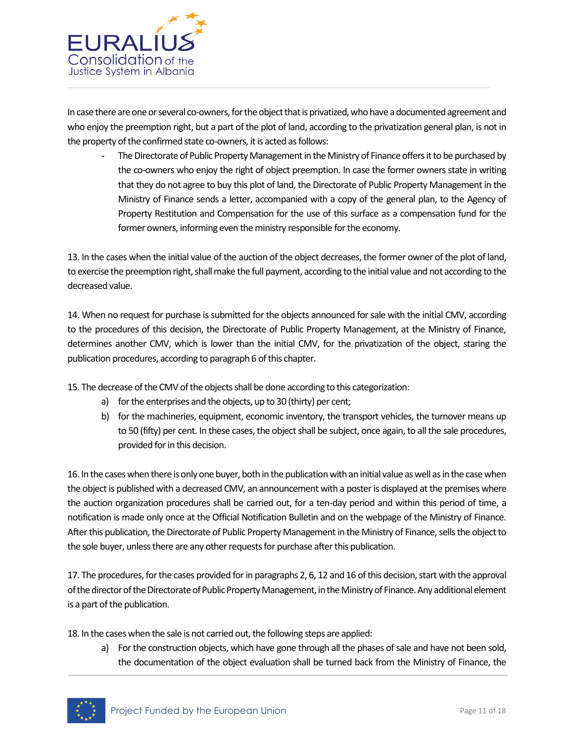

In case there are one or several co-owners, for the object that is privatized, who have a documented agreement and who enjoy the preemption right, but a part of the plot of land, according to the privatization general plan, is not in the property of the confirmed state co-owners, it is acted as follows:

- The Directorate of Public Property Management in the Ministry of Finance offers it to be purchased by the co-owners who enjoy the right of object preemption. In case the former owners state in writing that they do not agree to buy this plot of land, the Directorate of Public Property Management in the Ministry of Finance sends a letter, accompanied with a copy of the general plan, to the Agency of Property Restitution and Compensation for the use of this surface as a compensation fund for the former owners, informing even the ministry responsible for the economy.

13. In the cases when the initial value of the auction of the object decreases, the former owner of the plot of land, to exercise the preemption right, shall make the full payment, according to the initial value and not according to the decreased value.

14. When no request for purchase is submitted for the objects announced for sale with the initial CMV, according to the procedures of this decision, the Directorate of Public Property Management, at the Ministry of Finance, determines another CMV, which is lower than the initial CMV, for the privatization of the object, staring the publication procedures, according to paragraph 6 of this chapter.

- 15. The decrease of the CMV of the objects shall be done according to this categorization:
	- a) for the enterprises and the objects, up to 30 (thirty) per cent;
	- b) for the machineries, equipment, economic inventory, the transport vehicles, the turnover means up to 50 (fifty) per cent. In these cases, the object shall be subject, once again, to all the sale procedures, provided for in this decision.

16. In the cases when there is only one buyer, both in the publication with an initial value as well as in the case when the object is published with a decreased CMV, an announcement with a poster is displayed at the premises where the auction organization procedures shall be carried out, for a ten-day period and within this period of time, a notification is made only once at the Official Notification Bulletin and on the webpage of the Ministry of Finance. After this publication, the Directorate of Public Property Management in the Ministry of Finance, sells the object to the sole buyer, unless there are any other requests for purchase after this publication.

17. The procedures, for the cases provided for in paragraphs 2, 6, 12 and 16 of this decision, start with the approval of the director of the Directorate of Public Property Management, in the Ministry of Finance. Any additional element is a part of the publication.

18. In the cases when the sale is not carried out, the following steps are applied:

a) For the construction objects, which have gone through all the phases of sale and have not been sold, the documentation of the object evaluation shall be turned back from the Ministry of Finance, the

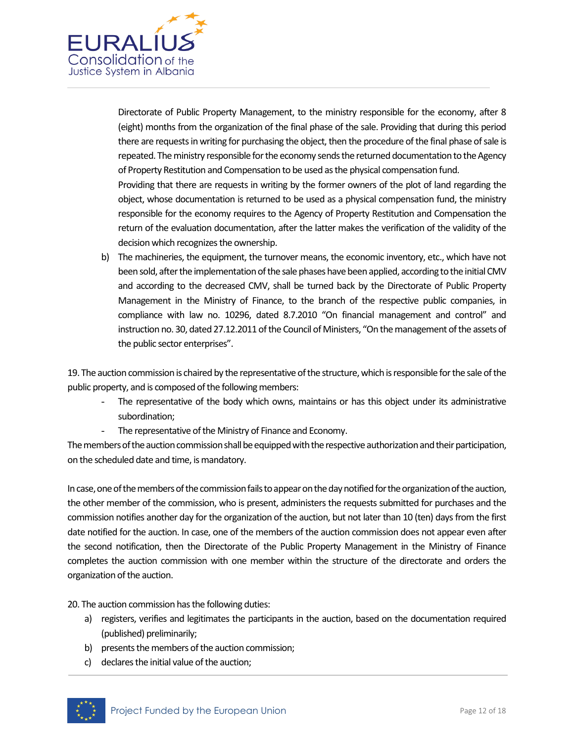

Directorate of Public Property Management, to the ministry responsible for the economy, after 8 (eight) months from the organization of the final phase of the sale. Providing that during this period there are requests in writing for purchasing the object, then the procedure of the final phase of sale is repeated. The ministry responsible for the economy sends the returned documentation to the Agency of Property Restitution and Compensation to be used as the physical compensation fund.

Providing that there are requests in writing by the former owners of the plot of land regarding the object, whose documentation is returned to be used as a physical compensation fund, the ministry responsible for the economy requires to the Agency of Property Restitution and Compensation the return of the evaluation documentation, after the latter makes the verification of the validity of the decision which recognizes the ownership.

b) The machineries, the equipment, the turnover means, the economic inventory, etc., which have not been sold, after the implementation of the sale phases have been applied, according to the initial CMV and according to the decreased CMV, shall be turned back by the Directorate of Public Property Management in the Ministry of Finance, to the branch of the respective public companies, in compliance with law no. 10296, dated 8.7.2010 "On financial management and control" and instruction no. 30, dated 27.12.2011 of the Council of Ministers, "On the management of the assets of the public sector enterprises".

19. The auction commission is chaired by the representative of the structure, which is responsible for the sale of the public property, and is composed of the following members:

- The representative of the body which owns, maintains or has this object under its administrative subordination;
	- The representative of the Ministry of Finance and Economy.

The members of the auction commission shall be equipped with the respective authorization and their participation, on the scheduled date and time, is mandatory.

In case, one of the members of the commission fails to appear on the day notified for the organization of the auction, the other member of the commission, who is present, administers the requests submitted for purchases and the commission notifies another day for the organization of the auction, but not later than 10 (ten) days from the first date notified for the auction. In case, one of the members of the auction commission does not appear even after the second notification, then the Directorate of the Public Property Management in the Ministry of Finance completes the auction commission with one member within the structure of the directorate and orders the organization of the auction.

20. The auction commission has the following duties:

- a) registers, verifies and legitimates the participants in the auction, based on the documentation required (published) preliminarily;
- b) presents the members of the auction commission;
- c) declares the initial value of the auction;

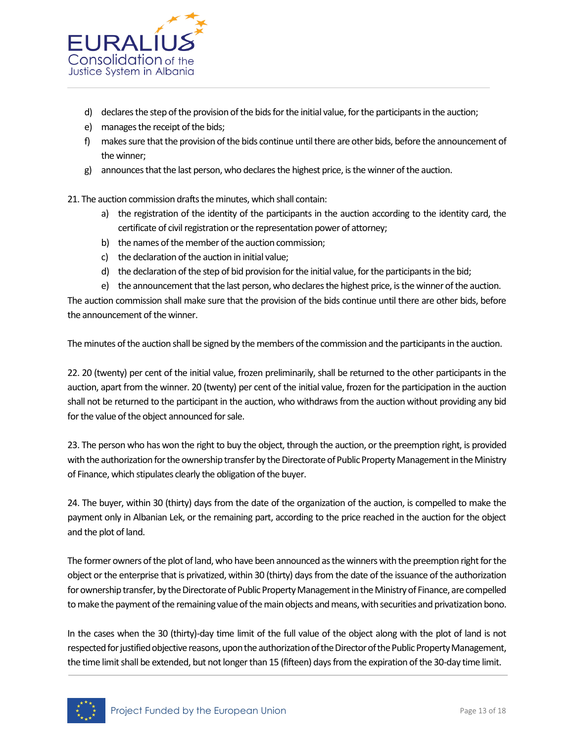

- d) declares the step of the provision of the bids for the initial value, for the participants in the auction;
- e) manages the receipt of the bids;
- f) makes sure that the provision of the bids continue until there are other bids, before the announcement of the winner;
- g) announces that the last person, who declares the highest price, is the winner of the auction.

21. The auction commission drafts the minutes, which shall contain:

- a) the registration of the identity of the participants in the auction according to the identity card, the certificate of civil registration or the representation power of attorney;
- b) the names of the member of the auction commission;
- c) the declaration of the auction in initial value;
- d) the declaration of the step of bid provision for the initial value, for the participants in the bid;
- e) the announcement that the last person, who declares the highest price, is the winner of the auction.

The auction commission shall make sure that the provision of the bids continue until there are other bids, before the announcement of the winner.

The minutes of the auction shall be signed by the members of the commission and the participants in the auction.

22. 20 (twenty) per cent of the initial value, frozen preliminarily, shall be returned to the other participants in the auction, apart from the winner. 20 (twenty) per cent of the initial value, frozen for the participation in the auction shall not be returned to the participant in the auction, who withdraws from the auction without providing any bid for the value of the object announced for sale.

23. The person who has won the right to buy the object, through the auction, or the preemption right, is provided with the authorization for the ownership transfer by the Directorate of Public Property Management in the Ministry of Finance, which stipulates clearly the obligation of the buyer.

24. The buyer, within 30 (thirty) days from the date of the organization of the auction, is compelled to make the payment only in Albanian Lek, or the remaining part, according to the price reached in the auction for the object and the plot of land.

The former owners of the plot of land, who have been announced as the winners with the preemption right for the object or the enterprise that is privatized, within 30 (thirty) days from the date of the issuance of the authorization for ownership transfer, by the Directorate of Public Property Management in the Ministry of Finance, are compelled to make the payment of the remaining value of the main objects and means, with securities and privatization bono.

In the cases when the 30 (thirty)-day time limit of the full value of the object along with the plot of land is not respected for justified objective reasons, upon the authorization of the Director of the Public Property Management, the time limit shall be extended, but not longer than 15 (fifteen) days from the expiration of the 30-day time limit.

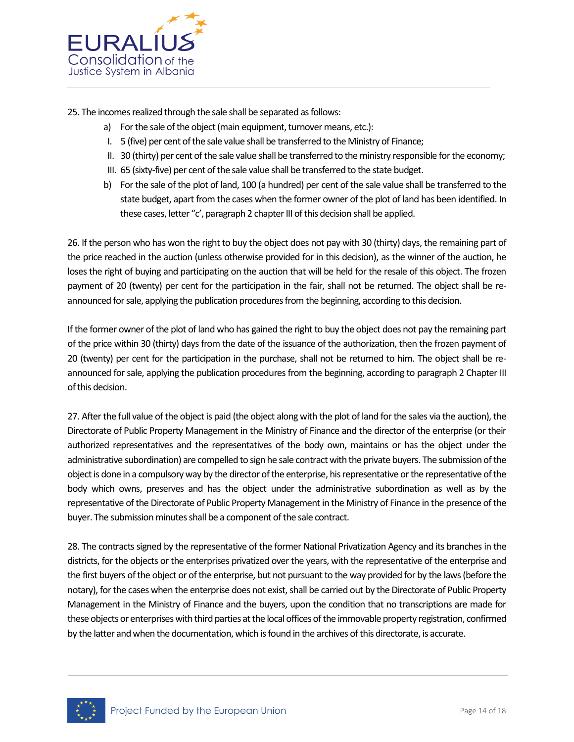

25. The incomes realized through the sale shall be separated as follows:

- a) For the sale of the object (main equipment, turnover means, etc.):
- I. 5 (five) per cent of the sale value shall be transferred to the Ministry of Finance;
- II. 30 (thirty) per cent of the sale value shall be transferred to the ministry responsible for the economy;
- III. 65 (sixty-five) per cent of the sale value shall be transferred to the state budget.
- b) For the sale of the plot of land, 100 (a hundred) per cent of the sale value shall be transferred to the state budget, apart from the cases when the former owner of the plot of land has been identified. In these cases, letter "c', paragraph 2 chapter III of this decision shall be applied.

26. If the person who has won the right to buy the object does not pay with 30 (thirty) days, the remaining part of the price reached in the auction (unless otherwise provided for in this decision), as the winner of the auction, he loses the right of buying and participating on the auction that will be held for the resale of this object. The frozen payment of 20 (twenty) per cent for the participation in the fair, shall not be returned. The object shall be reannounced for sale, applying the publication procedures from the beginning, according to this decision.

If the former owner of the plot of land who has gained the right to buy the object does not pay the remaining part of the price within 30 (thirty) days from the date of the issuance of the authorization, then the frozen payment of 20 (twenty) per cent for the participation in the purchase, shall not be returned to him. The object shall be reannounced for sale, applying the publication procedures from the beginning, according to paragraph 2 Chapter III of this decision.

27. After the full value of the object is paid (the object along with the plot of land for the sales via the auction), the Directorate of Public Property Management in the Ministry of Finance and the director of the enterprise (or their authorized representatives and the representatives of the body own, maintains or has the object under the administrative subordination) are compelled to sign he sale contract with the private buyers. The submission of the object is done in a compulsory way by the director of the enterprise, his representative or the representative of the body which owns, preserves and has the object under the administrative subordination as well as by the representative of the Directorate of Public Property Management in the Ministry of Finance in the presence of the buyer. The submission minutes shall be a component of the sale contract.

28. The contracts signed by the representative of the former National Privatization Agency and its branches in the districts, for the objects or the enterprises privatized over the years, with the representative of the enterprise and the first buyers of the object or of the enterprise, but not pursuant to the way provided for by the laws (before the notary), for the cases when the enterprise does not exist, shall be carried out by the Directorate of Public Property Management in the Ministry of Finance and the buyers, upon the condition that no transcriptions are made for these objects or enterprises with third parties at the local offices of the immovable property registration, confirmed by the latter and when the documentation, which is found in the archives of this directorate, is accurate.

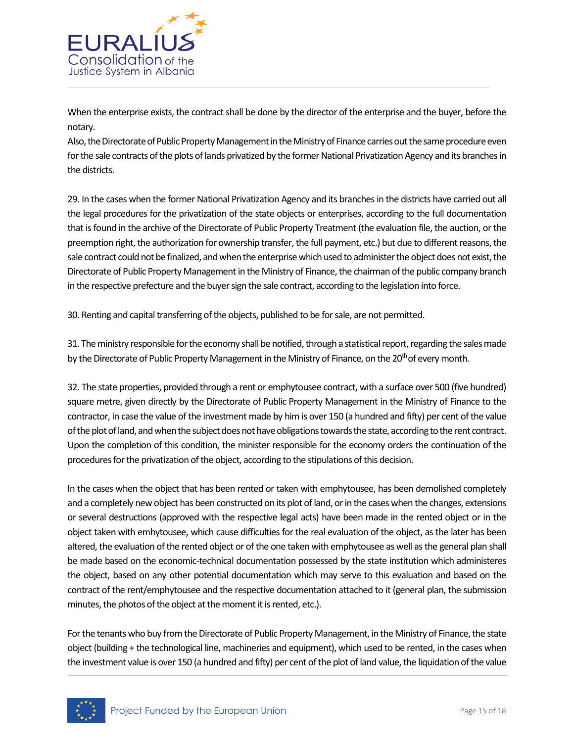

When the enterprise exists, the contract shall be done by the director of the enterprise and the buyer, before the notary.

Also, the Directorate of Public Property Management in the Ministry of Finance carries out the same procedure even for the sale contracts of the plots of lands privatized by the former National Privatization Agency and its branches in the districts.

29. In the cases when the former National Privatization Agency and its branches in the districts have carried out all the legal procedures for the privatization of the state objects or enterprises, according to the full documentation that is found in the archive of the Directorate of Public Property Treatment (the evaluation file, the auction, or the preemption right, the authorization for ownership transfer, the full payment, etc.) but due to different reasons, the sale contract could not be finalized, and when the enterprise which used to administer the object does not exist, the Directorate of Public Property Management in the Ministry of Finance, the chairman of the public company branch in the respective prefecture and the buyer sign the sale contract, according to the legislation into force.

30. Renting and capital transferring of the objects, published to be for sale, are not permitted.

31. The ministry responsible for the economy shall be notified, through a statistical report, regarding the sales made by the Directorate of Public Property Management in the Ministry of Finance, on the 20<sup>th</sup> of every month.

32. The state properties, provided through a rent or emphytousee contract, with a surface over 500 (five hundred) square metre, given directly by the Directorate of Public Property Management in the Ministry of Finance to the contractor, in case the value of the investment made by him is over 150 (a hundred and fifty) per cent of the value of the plot of land, and when the subject does not have obligations towards the state, according to the rent contract. Upon the completion of this condition, the minister responsible for the economy orders the continuation of the procedures for the privatization of the object, according to the stipulations of this decision.

In the cases when the object that has been rented or taken with emphytousee, has been demolished completely and a completely new object has been constructed on its plot of land, or in the cases when the changes, extensions or several destructions (approved with the respective legal acts) have been made in the rented object or in the object taken with emhytousee, which cause difficulties for the real evaluation of the object, as the later has been altered, the evaluation of the rented object or of the one taken with emphytousee as well as the general plan shall be made based on the economic-technical documentation possessed by the state institution which administeres the object, based on any other potential documentation which may serve to this evaluation and based on the contract of the rent/emphytousee and the respective documentation attached to it (general plan, the submission minutes, the photos of the object at the moment it is rented, etc.).

For the tenants who buy from the Directorate of Public Property Management, in the Ministry of Finance, the state object (building + the technological line, machineries and equipment), which used to be rented, in the cases when the investment value is over 150 (a hundred and fifty) per cent of the plot of land value, the liquidation of the value

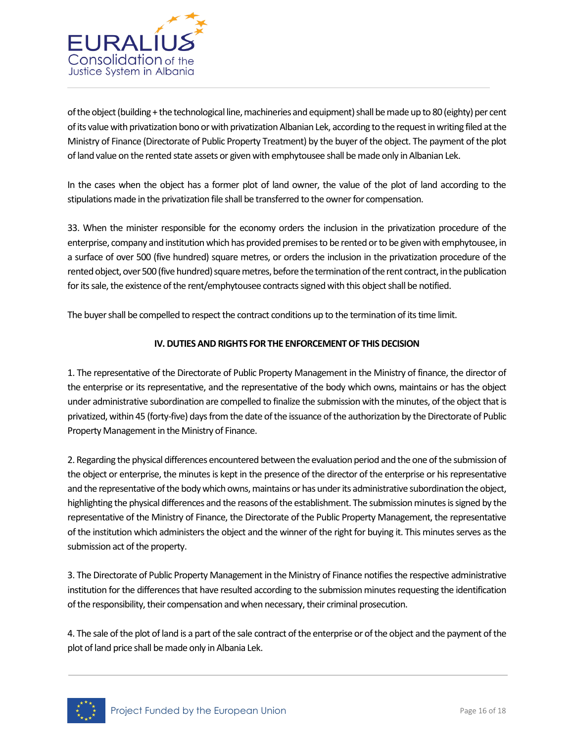

of the object (building + the technological line, machineries and equipment) shall be made up to 80 (eighty) per cent of its value with privatization bono or with privatization Albanian Lek, according to the request in writing filed at the Ministry of Finance (Directorate of Public Property Treatment) by the buyer of the object. The payment of the plot of land value on the rented state assets or given with emphytousee shall be made only in Albanian Lek.

In the cases when the object has a former plot of land owner, the value of the plot of land according to the stipulations made in the privatization file shall be transferred to the owner for compensation.

33. When the minister responsible for the economy orders the inclusion in the privatization procedure of the enterprise, company and institution which has provided premises to be rented or to be given with emphytousee, in a surface of over 500 (five hundred) square metres, or orders the inclusion in the privatization procedure of the rented object, over 500 (five hundred) square metres, before the termination of the rent contract, in the publication for its sale, the existence of the rent/emphytousee contracts signed with this object shall be notified.

The buyer shall be compelled to respect the contract conditions up to the termination of its time limit.

### **IV. DUTIES AND RIGHTS FOR THE ENFORCEMENT OF THIS DECISION**

1. The representative of the Directorate of Public Property Management in the Ministry of finance, the director of the enterprise or its representative, and the representative of the body which owns, maintains or has the object under administrative subordination are compelled to finalize the submission with the minutes, of the object that is privatized, within 45 (forty-five) days from the date of the issuance of the authorization by the Directorate of Public Property Management in the Ministry of Finance.

2. Regarding the physical differences encountered between the evaluation period and the one of the submission of the object or enterprise, the minutes is kept in the presence of the director of the enterprise or his representative and the representative of the body which owns, maintains or has under its administrative subordination the object, highlighting the physical differences and the reasons of the establishment. The submission minutes is signed by the representative of the Ministry of Finance, the Directorate of the Public Property Management, the representative of the institution which administers the object and the winner of the right for buying it. This minutes serves as the submission act of the property.

3. The Directorate of Public Property Management in the Ministry of Finance notifies the respective administrative institution for the differences that have resulted according to the submission minutes requesting the identification of the responsibility, their compensation and when necessary, their criminal prosecution.

4. The sale of the plot of land is a part of the sale contract of the enterprise or of the object and the payment of the plot of land price shall be made only in Albania Lek.

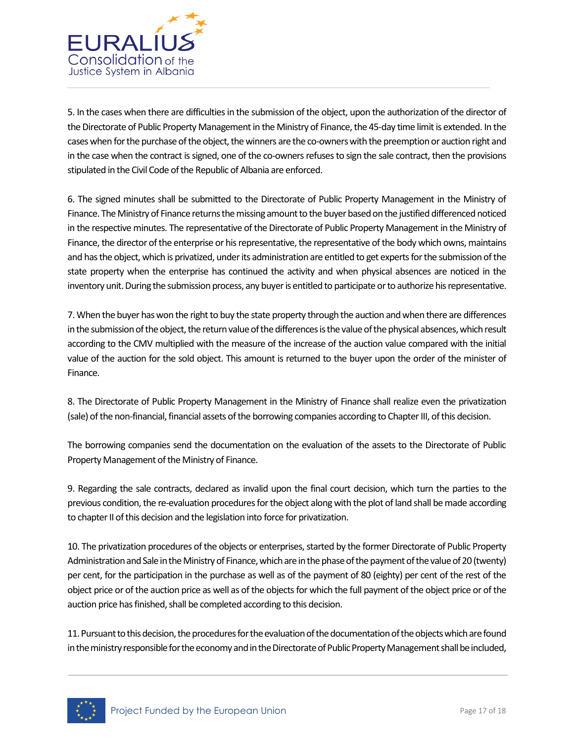

5. In the cases when there are difficulties in the submission of the object, upon the authorization of the director of the Directorate of Public Property Management in the Ministry of Finance, the 45-day time limit is extended. In the cases when for the purchase of the object, the winners are the co-owners with the preemption or auction right and in the case when the contract is signed, one of the co-owners refuses to sign the sale contract, then the provisions stipulated in the Civil Code of the Republic of Albania are enforced.

6. The signed minutes shall be submitted to the Directorate of Public Property Management in the Ministry of Finance. The Ministry of Finance returns the missing amount to the buyer based on the justified differenced noticed in the respective minutes. The representative of the Directorate of Public Property Management in the Ministry of Finance, the director of the enterprise or his representative, the representative of the body which owns, maintains and has the object, which is privatized, under its administration are entitled to get experts for the submission of the state property when the enterprise has continued the activity and when physical absences are noticed in the inventory unit. During the submission process, any buyer is entitled to participate or to authorize his representative.

7. When the buyer has won the right to buy the state property through the auction and when there are differences in the submission of the object, the return value of the differences is the value of the physical absences, which result according to the CMV multiplied with the measure of the increase of the auction value compared with the initial value of the auction for the sold object. This amount is returned to the buyer upon the order of the minister of Finance.

8. The Directorate of Public Property Management in the Ministry of Finance shall realize even the privatization (sale) of the non-financial, financial assets of the borrowing companies according to Chapter III, of this decision.

The borrowing companies send the documentation on the evaluation of the assets to the Directorate of Public Property Management of the Ministry of Finance.

9. Regarding the sale contracts, declared as invalid upon the final court decision, which turn the parties to the previous condition, the re-evaluation procedures for the object along with the plot of land shall be made according to chapter II of this decision and the legislation into force for privatization.

10. The privatization procedures of the objects or enterprises, started by the former Directorate of Public Property Administration and Sale in the Ministry of Finance, which are in the phase of the payment of the value of 20 (twenty) per cent, for the participation in the purchase as well as of the payment of 80 (eighty) per cent of the rest of the object price or of the auction price as well as of the objects for which the full payment of the object price or of the auction price has finished, shall be completed according to this decision.

11. Pursuant to this decision, the procedures for the evaluation of the documentation of the objects which are found in the ministry responsible for the economy and in the Directorate of Public Property Management shall be included,